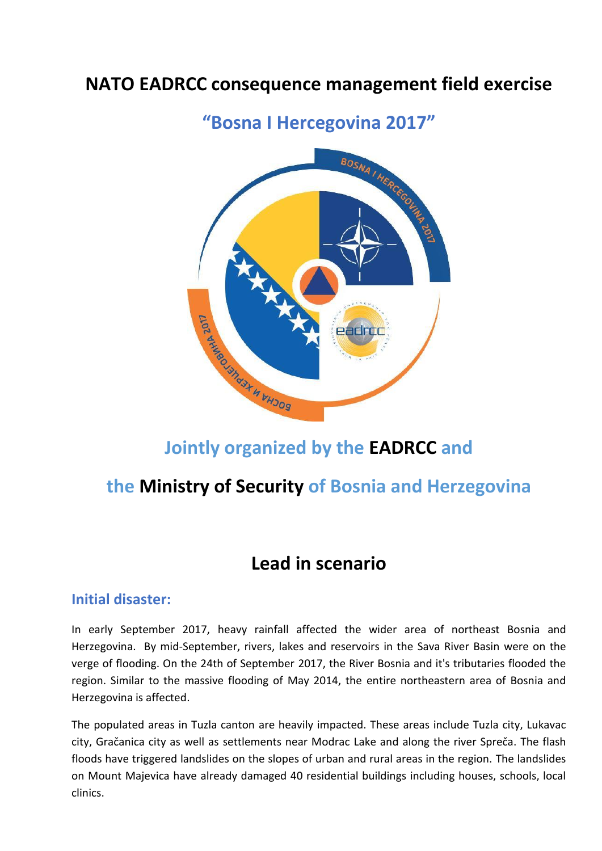# **NATO EADRCC consequence management field exercise**



## **Jointly organized by the EADRCC and**

### **the Ministry of Security of Bosnia and Herzegovina**

### **Lead in scenario**

#### **Initial disaster:**

In early September 2017, heavy rainfall affected the wider area of northeast Bosnia and Herzegovina. By mid-September, rivers, lakes and reservoirs in the Sava River Basin were on the verge of flooding. On the 24th of September 2017, the River Bosnia and it's tributaries flooded the region. Similar to the massive flooding of May 2014, the entire northeastern area of Bosnia and Herzegovina is affected.

The populated areas in Tuzla canton are heavily impacted. These areas include Tuzla city, Lukavac city, Gračanica city as well as settlements near Modrac Lake and along the river Spreča. The flash floods have triggered landslides on the slopes of urban and rural areas in the region. The landslides on Mount Majevica have already damaged 40 residential buildings including houses, schools, local clinics.